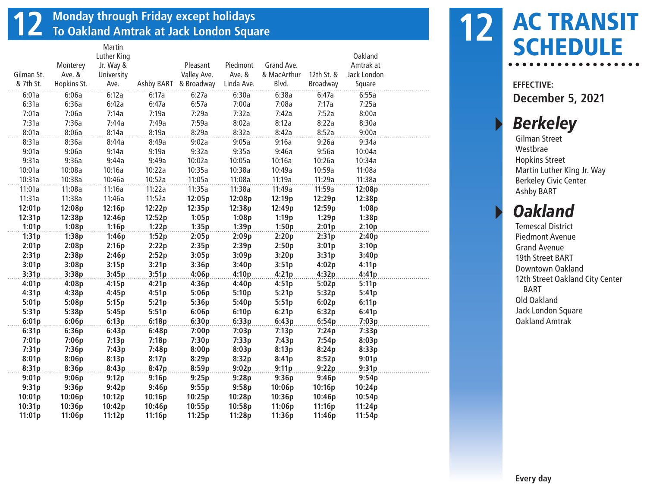## **12 Monday through Friday except holidays To Oakland Amtrak at Jack London Square**

|            |             | Martin      |        |                       |            |             |            |             |  |
|------------|-------------|-------------|--------|-----------------------|------------|-------------|------------|-------------|--|
|            |             | Luther King |        |                       |            |             |            | Oakland     |  |
|            | Monterey    | Jr. Way &   |        | Pleasant              | Piedmont   | Grand Ave.  |            | Amtrak at   |  |
| Gilman St. | Ave. &      | University  |        | Valley Ave.           | Ave. &     | & MacArthur | 12th St. & | Jack London |  |
| & 7th St.  | Hopkins St. | Ave.        |        | Ashby BART & Broadway | Linda Ave. | Blvd.       | Broadway   | Square      |  |
| 6:01a      | 6:06a       | 6:12a       | 6:17a  | 6:27a                 | 6:30a      | 6:38a       | 6:47a      | 6:55a       |  |
| 6:31a      | 6:36a       | 6:42a       | 6:47a  | 6:57a                 | 7:00a      | 7:08a       | 7:17a      | 7:25a       |  |
| 7:01a      | 7:06a       | 7:14a       | 7:19a  | 7:29a                 | 7:32a      | 7:42a       | 7:52a      | 8:00a       |  |
| 7:31a      | 7:36a       | 7:44a       | 7:49a  | 7:59a                 | 8:02a      | 8:12a       | 8:22a      | 8:30a       |  |
| 8:01a      | 8:06a       | 8:14a       | 8:19a  | 8:29a                 | 8:32a      | 8:42a       | 8:52a      | 9:00a       |  |
| 8:31a      | 8:36a       | 8:44a       | 8:49a  | 9:02a                 | 9:05a      | 9:16a       | 9:26a      | 9:34a       |  |
| 9:01a      | 9:06a       | 9:14a       | 9:19a  | 9:32a                 | 9:35a      | 9:46a       | 9:56a      | 10:04a      |  |
| 9:31a      | 9:36a       | 9:44a       | 9:49a  | 10:02a                | 10:05a     | 10:16a      | 10:26a     | 10:34a      |  |
| 10:01a     | 10:08a      | 10:16a      | 10:22a | 10:35a                | 10:38a     | 10:49a      | 10:59a     | 11:08a      |  |
| 10:31a     | 10:38a      | 10:46a      | 10:52a | 11:05a                | 11:08a     | 11:19a      | 11:29a     | 11:38a      |  |
| 11:01a     | 11:08a      | 11:16a      | 11:22a | 11:35a                | 11:38a     | 11:49a      | 11:59a     | 12:08p      |  |
| 11:31a     | 11:38a      | 11:46a      | 11:52a | 12:05p                | 12:08p     | 12:19p      | 12:29p     | 12:38p      |  |
| 12:01p     | 12:08p      | 12:16p      | 12:22p | 12:35p                | 12:38p     | 12:49p      | 12:59p     | 1:08p       |  |
| 12:31p     | 12:38p      | 12:46p      | 12:52p | 1:05p                 | 1:08p      | 1:19p       | 1:29p      | 1:38p       |  |
| 1:01p      | 1:08p       | 1:16p       | 1:22p  | 1:35p                 | 1:39p      | 1:50p       | 2:01p      | 2:10p       |  |
| 1:31p      | 1:38p       | 1:46p       | 1:52p  | 2:05p                 | 2:09p      | 2:20p       | 2:31p      | 2:40p       |  |
| 2:01p      | 2:08p       | 2:16p       | 2:22p  | 2:35p                 | 2:39p      | 2:50p       | 3:01p      | 3:10p       |  |
| 2:31p      | 2:38p       | 2:46p       | 2:52p  | 3:05p                 | 3:09p      | 3:20p       | 3:31p      | 3:40p       |  |
| 3:01p      | 3:08p       | 3:15p       | 3:21p  | 3:36p                 | 3:40p      | 3:51p       | 4:02p      | 4:11p       |  |
| 3:31p      | 3:38p       | 3:45p       | 3:51p  | 4:06p                 | 4:10p      | 4:21p       | 4:32p      | 4:41p       |  |
| 4:01p      | 4:08p       | 4:15p       | 4:21p  | 4:36p                 | 4:40p      | 4:51p       | 5:02p      | 5:11p       |  |
| 4:31p      | 4:38p       | 4:45p       | 4:51p  | 5:06p                 | 5:10p      | 5:21p       | 5:32p      | 5:41p       |  |
| 5:01p      | 5:08p       | 5:15p       | 5:21p  | 5:36p                 | 5:40p      | 5:51p       | 6:02p      | 6:11p       |  |
| 5:31p      | 5:38p       | 5:45p       | 5:51p  | 6:06p                 | 6:10p      | 6:21p       | 6:32p      | 6:41p       |  |
| 6:01p      | 6:06p       | 6:13p       | 6:18p  | 6:30p                 | 6:33p      | 6:43p       | 6:54p      | 7:03p       |  |
| 6:31p      | 6:36p       | 6:43p       | 6:48p  | 7:00p                 | 7:03p      | 7:13p       | 7:24p      | 7:33p       |  |
| 7:01p      | 7:06p       | 7:13p       | 7:18p  | 7:30p                 | 7:33p      | 7:43p       | 7:54p      | 8:03p       |  |
| 7:31p      | 7:36p       | 7:43p       | 7:48p  | 8:00p                 | 8:03p      | 8:13p       | 8:24p      | 8:33p       |  |
| 8:01p      | 8:06p       | 8:13p       | 8:17p  | 8:29p                 | 8:32p      | 8:41p       | 8:52p      | 9:01p       |  |
| 8:31p      | 8:36p       | 8:43p       | 8:47p  | 8:59p                 | 9:02p      | 9:11p       | 9:22p      | 9:31p       |  |
| 9:01p      | 9:06p       | 9:12p       | 9:16p  | 9:25p                 | 9:28p      | 9:36p       | 9:46p      | 9:54p       |  |
| 9:31p      | 9:36p       | 9:42p       | 9:46p  | 9:55p                 | 9:58p      | 10:06p      | 10:16p     | 10:24p      |  |
| 10:01p     | 10:06p      | 10:12p      | 10:16p | 10:25p                | 10:28p     | 10:36p      | 10:46p     | 10:54p      |  |
| 10:31p     | 10:36p      | 10:42p      | 10:46p | 10:55p                | 10:58p     | 11:06p      | 11:16p     | 11:24p      |  |
| 11:01p     | 11:06p      | 11:12p      | 11:16p | 11:25p                | 11:28p     | 11:36p      | 11:46p     | 11:54p      |  |



**EFFECTIVE: December 5, 2021**

#### **Berkeley**

Gilman Street Westbrae Hopkins Street Martin Luther King Jr. Way Berkeley Civic Center Ashby BART

#### **Oakland**

Temescal District Piedmont Avenue Grand Avenue 19th Street BART Downtown Oakland 12th Street Oakland City Center BART Old Oakland Jack London Square Oakland Amtrak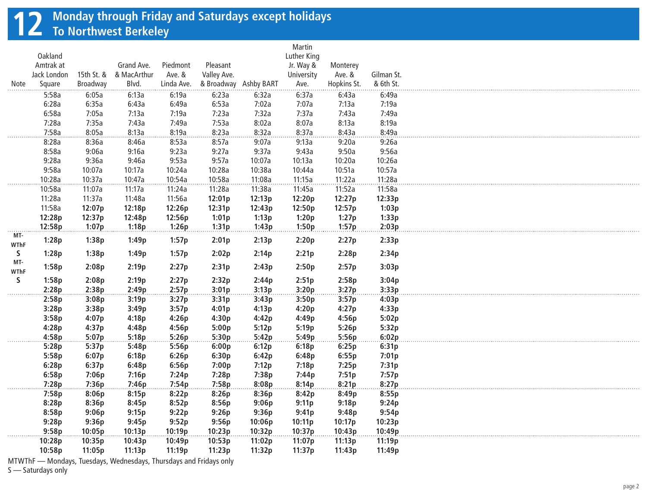## **12 Monday through Friday and Saturdays except holidays To Northwest Berkeley**

|             |             |                 |             |            |                       |        | Martin      |             |            |  |
|-------------|-------------|-----------------|-------------|------------|-----------------------|--------|-------------|-------------|------------|--|
|             | Oakland     |                 |             |            |                       |        | Luther King |             |            |  |
|             | Amtrak at   |                 | Grand Ave.  | Piedmont   | Pleasant              |        | Jr. Way &   | Monterey    |            |  |
|             | Jack London | 15th St. &      | & MacArthur | Ave. &     | Valley Ave.           |        | University  | Ave. &      | Gilman St. |  |
| Note        | Square      | <b>Broadway</b> | Blvd.       | Linda Ave. | & Broadway Ashby BART |        | Ave.        | Hopkins St. | & 6th St.  |  |
|             | 5:58a       | 6:05a           | 6:13a       | 6:19a      | 6:23a                 | 6:32a  | 6:37a       | 6:43a       | 6:49a      |  |
|             | 6:28a       | 6:35a           | 6:43a       | 6:49a      | 6:53a                 | 7:02a  | 7:07a       | 7:13a       | 7:19a      |  |
|             | 6:58a       | 7:05a           | 7:13a       | 7:19a      | 7:23a                 | 7:32a  | 7:37a       | 7:43a       | 7:49a      |  |
|             | 7:28a       | 7:35a           | 7:43a       | 7:49a      | 7:53a                 | 8:02a  | 8:07a       | 8:13a       | 8:19a      |  |
|             | 7:58a       | 8:05a           | 8:13a       | 8:19a      | 8:23a                 | 8:32a  | 8:37a       | 8:43a       | 8:49a      |  |
|             | 8:28a       | 8:36a           | 8:46a       | 8:53a      | 8:57a                 | 9:07a  | 9:13a       | 9:20a       | 9:26a      |  |
|             | 8:58a       | 9:06a           | 9:16a       | 9:23a      | 9:27a                 | 9:37a  | 9:43a       | 9:50a       | 9:56a      |  |
|             | 9:28a       | 9:36a           | 9:46a       | 9:53a      | 9:57a                 | 10:07a | 10:13a      | 10:20a      | 10:26a     |  |
|             | 9:58a       | 10:07a          | 10:17a      | 10:24a     | 10:28a                | 10:38a | 10:44a      | 10:51a      | 10:57a     |  |
|             | 10:28a      | 10:37a          | 10:47a      | 10:54a     | 10:58a                | 11:08a | 11:15a      | 11:22a      | 11:28a     |  |
|             | 10:58a      | 11:07a          | 11:17a      | 11:24a     | 11:28a                | 11:38a | 11:45a      | 11:52a      | 11:58a     |  |
|             | 11:28a      | 11:37a          | 11:48a      | 11:56a     | 12:01p                | 12:13p | 12:20p      | 12:27p      | 12:33p     |  |
|             | 11:58a      | 12:07p          | 12:18p      | 12:26p     | 12:31p                | 12:43p | 12:50p      | 12:57p      | 1:03p      |  |
|             | 12:28p      | 12:37p          | 12:48p      | 12:56p     | 1:01p                 | 1:13p  | 1:20p       | 1:27p       | 1:33p      |  |
|             | 12:58p      | 1:07p           | 1:18p       | 1:26p      | 1:31p                 | 1:43p  | 1:50p       | 1:57p       | 2:03p      |  |
| MT-         | 1:28p       | 1:38p           | 1:49p       | 1:57p      | 2:01p                 | 2:13p  | 2:20p       | 2:27p       | 2:33p      |  |
| WThF<br>S.  | 1:28p       | 1:38p           | 1:49p       | 1:57p      | 2:02p                 | 2:14p  | 2:21p       | 2:28p       | 2:34p      |  |
| MT-         |             |                 |             |            |                       |        |             |             |            |  |
| <b>WThF</b> | 1:58p       | 2:08p           | 2:19p       | 2:27p      | 2:31p                 | 2:43p  | 2:50p       | 2:57p       | 3:03p      |  |
| S.          | 1:58p       | 2:08p           | 2:19p       | 2:27p      | 2:32p                 | 2:44p  | 2:51p       | 2:58p       | 3:04p      |  |
|             | 2:28p       | 2:38p           | 2:49p       | 2:57p      | 3:01p                 | 3:13p  | 3:20p       | 3:27p       | 3:33p      |  |
|             | 2:58p       | 3:08p           | 3:19p       | 3:27p      | 3:31p                 | 3:43p  | 3:50p       | 3:57p       | 4:03p      |  |
|             | 3:28p       | 3:38p           | 3:49p       | 3:57p      | 4:01p                 | 4:13p  | 4:20p       | 4:27p       | 4:33p      |  |
|             | 3:58p       | 4:07p           | 4:18p       | 4:26p      | 4:30p                 | 4:42p  | 4:49p       | 4:56p       | 5:02p      |  |
|             | 4:28p       | 4:37p           | 4:48p       | 4:56p      | 5:00p                 | 5:12p  | 5:19p       | 5:26p       | 5:32p      |  |
|             | 4:58p       | 5:07p           | 5:18p       | 5:26p      | 5:30p                 | 5:42p  | 5:49p       | 5:56p       | 6:02p      |  |
|             | 5:28p       | 5:37p           | 5:48p       | 5:56p      | 6:00p                 | 6:12p  | 6:18p       | 6:25p       | 6:31p      |  |
|             | 5:58p       | 6:07p           | 6:18p       | 6:26p      | 6:30p                 | 6:42p  | 6:48p       | 6:55p       | 7:01p      |  |
|             | 6:28p       | 6:37p           | 6:48p       | 6:56p      | 7:00p                 | 7:12p  | 7:18p       | 7:25p       | 7:31p      |  |
|             | 6:58p       | 7:06p           | 7:16p       | 7:24p      | 7:28p                 | 7:38p  | 7:44p       | 7:51p       | 7:57p      |  |
|             | 7:28p       | 7:36p           | 7:46p       | 7:54p      | 7:58p                 | 8:08p  | 8:14p       | 8:21p       | 8:27p      |  |
|             | 7:58p       | 8:06p           | 8:15p       | 8:22p      | 8:26p                 | 8:36p  | 8:42p       | 8:49p       | 8:55p      |  |
|             | 8:28p       | 8:36p           | 8:45p       | 8:52p      | 8:56p                 | 9:06p  | 9:11p       | 9:18p       | 9:24p      |  |
|             | 8:58p       | 9:06p           | 9:15p       | 9:22p      | 9:26p                 | 9:36p  | 9:41p       | 9:48p       | 9:54p      |  |
|             | 9:28p       | 9:36p           | 9:45p       | 9:52p      | 9:56p                 | 10:06p | 10:11p      | 10:17p      | 10:23p     |  |
|             | 9:58p       | 10:05p          | 10:13p      | 10:19p     | 10:23p                | 10:32p | 10:37p      | 10:43p      | 10:49p     |  |
|             | 10:28p      | 10:35p          | 10:43p      | 10:49p     | 10:53p                | 11:02p | 11:07p      | 11:13p      | 11:19p     |  |
|             |             |                 |             |            |                       |        |             |             |            |  |

MTWThF — Mondays, Tuesdays, Wednesdays, Thursdays and Fridays only

S - Saturdays only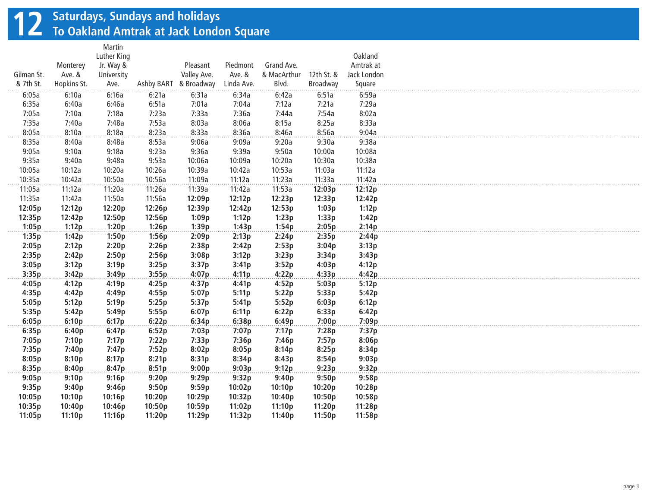## **12 Saturdays, Sundays and holidays To Oakland Amtrak at Jack London Square**

|            |             | Martin      |        |                       |            |             |            |             |
|------------|-------------|-------------|--------|-----------------------|------------|-------------|------------|-------------|
|            |             | Luther King |        |                       |            |             |            | Oakland     |
|            | Monterey    | Jr. Way &   |        | Pleasant              | Piedmont   | Grand Ave.  |            | Amtrak at   |
| Gilman St. | Ave. &      | University  |        | Valley Ave.           | Ave. &     | & MacArthur | 12th St. & | Jack London |
| & 7th St.  | Hopkins St. | Ave.        |        | Ashby BART & Broadway | Linda Ave. | Blvd.       | Broadway   | Square      |
| 6:05a      | 6:10a       | 6:16a       | 6:21a  | 6:31a                 | 6:34a      | 6:42a       | 6:51a      | 6:59a       |
| 6:35a      | 6:40a       | 6:46a       | 6:51a  | 7:01a                 | 7:04a      | 7:12a       | 7:21a      | 7:29a       |
| 7:05a      | 7:10a       | 7:18a       | 7:23a  | 7:33a                 | 7:36a      | 7:44a       | 7:54a      | 8:02a       |
| 7:35a      | 7:40a       | 7:48a       | 7:53a  | 8:03a                 | 8:06a      | 8:15a       | 8:25a      | 8:33a       |
| 8:05a      | 8:10a       | 8:18a       | 8:23a  | 8:33a                 | 8:36a      | 8:46a       | 8:56a      | 9:04a       |
| 8:35a      | 8:40a       | 8:48a       | 8:53a  | 9:06a                 | 9:09a      | 9:20a       | 9:30a      | 9:38a       |
| 9:05a      | 9:10a       | 9:18a       | 9:23a  | 9:36a                 | 9:39a      | 9:50a       | 10:00a     | 10:08a      |
| 9:35a      | 9:40a       | 9:48a       | 9:53a  | 10:06a                | 10:09a     | 10:20a      | 10:30a     | 10:38a      |
| 10:05a     | 10:12a      | 10:20a      | 10:26a | 10:39a                | 10:42a     | 10:53a      | 11:03a     | 11:12a      |
| 10:35a     | 10:42a      | 10:50a      | 10:56a | 11:09a                | 11:12a     | 11:23a      | 11:33a     | 11:42a      |
| 11:05a     | 11:12a      | 11:20a      | 11:26a | 11:39a                | 11:42a     | 11:53a      | 12:03p     | 12:12p      |
| 11:35a     | 11:42a      | 11:50a      | 11:56a | 12:09p                | 12:12p     | 12:23p      | 12:33p     | 12:42p      |
| 12:05p     | 12:12p      | 12:20p      | 12:26p | 12:39p                | 12:42p     | 12:53p      | 1:03p      | 1:12p       |
| 12:35p     | 12:42p      | 12:50p      | 12:56p | 1:09p                 | 1:12p      | 1:23p       | 1:33p      | 1:42p       |
| 1:05p      | 1:12p       | 1:20p       | 1:26p  | 1:39p                 | 1:43p      | 1:54p       | 2:05p      | 2:14p       |
| 1:35p      | 1:42p       | 1:50p       | 1:56p  | 2:09p                 | 2:13p      | 2:24p       | 2:35p      | 2:44p       |
| 2:05p      | 2:12p       | 2:20p       | 2:26p  | 2:38p                 | 2:42p      | 2:53p       | 3:04p      | 3:13p       |
| 2:35p      | 2:42p       | 2:50p       | 2:56p  | 3:08p                 | 3:12p      | 3:23p       | 3:34p      | 3:43p       |
| 3:05p      | 3:12p       | 3:19p       | 3:25p  | 3:37p                 | 3:41p      | 3:52p       | 4:03p      | 4:12p       |
| 3:35p      | 3:42p       | 3:49p       | 3:55p  | 4:07p                 | 4:11p      | 4:22p       | 4:33p      | 4:42p       |
| 4:05p      | 4:12p       | 4:19p       | 4:25p  | 4:37p                 | 4:41p      | 4:52p       | 5:03p      | 5:12p       |
| 4:35p      | 4:42p       | 4:49p       | 4:55p  | 5:07p                 | 5:11p      | 5:22p       | 5:33p      | 5:42p       |
| 5:05p      | 5:12p       | 5:19p       | 5:25p  | 5:37p                 | 5:41p      | 5:52p       | 6:03p      | 6:12p       |
| 5:35p      | 5:42p       | 5:49p       | 5:55p  | 6:07p                 | 6:11p      | 6:22p       | 6:33p      | 6:42p       |
| 6:05p      | 6:10p       | 6:17p       | 6:22p  | 6:34p                 | 6:38p      | 6:49p       | 7:00p      | 7:09p       |
| 6:35p      | 6:40p       | 6:47p       | 6:52p  | 7:03p                 | 7:07p      | 7:17p       | 7:28p      | 7:37p       |
| 7:05p      | 7:10p       | 7:17p       | 7:22p  | 7:33p                 | 7:36p      | 7:46p       | 7:57p      | 8:06p       |
| 7:35p      | 7:40p       | 7:47p       | 7:52p  | 8:02p                 | 8:05p      | 8:14p       | 8:25p      | 8:34p       |
| 8:05p      | 8:10p       | 8:17p       | 8:21p  | 8:31p                 | 8:34p      | 8:43p       | 8:54p      | 9:03p       |
| 8:35p      | 8:40p       | 8:47p       | 8:51p  | 9:00p                 | 9:03p      | 9:12p       | 9:23p      | 9:32p       |
|            | 9:10p       |             | 9:20p  |                       | 9:32p      |             | 9:50p      | 9:58p       |
| 9:05p      |             | 9:16p       |        | 9:29p                 |            | 9:40p       |            |             |
| 9:35p      | 9:40p       | 9:46p       | 9:50p  | 9:59p                 | 10:02p     | 10:10p      | 10:20p     | 10:28p      |
| 10:05p     | 10:10p      | 10:16p      | 10:20p | 10:29p                | 10:32p     | 10:40p      | 10:50p     | 10:58p      |
| 10:35p     | 10:40p      | 10:46p      | 10:50p | 10:59p                | 11:02p     | 11:10p      | 11:20p     | 11:28p      |
| 11:05p     | 11:10p      | 11:16p      | 11:20p | 11:29p                | 11:32p     | 11:40p      | 11:50p     | 11:58p      |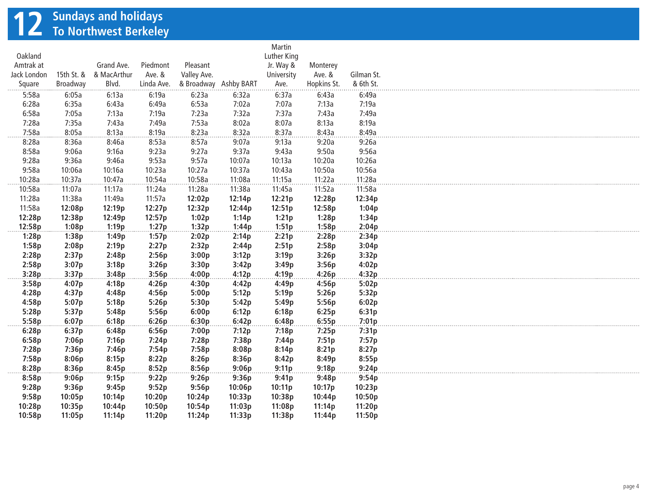# **12 Sundays and holidays To Northwest Berkeley**

|             |            |             |            |                       |        | Martin      |             |            |
|-------------|------------|-------------|------------|-----------------------|--------|-------------|-------------|------------|
| Oakland     |            |             |            |                       |        | Luther King |             |            |
| Amtrak at   |            | Grand Ave.  | Piedmont   | Pleasant              |        | Jr. Way &   | Monterey    |            |
| Jack London | 15th St. & | & MacArthur | Ave. &     | Valley Ave.           |        | University  | Ave. &      | Gilman St. |
| Square      | Broadway   | Blvd.       | Linda Ave. | & Broadway Ashby BART |        | Ave.        | Hopkins St. | & 6th St.  |
| 5:58a       | 6:05a      | 6:13a       | 6:19a      | 6:23a                 | 6:32a  | 6:37a       | 6:43a       | 6:49a      |
| 6:28a       | 6:35a      | 6:43a       | 6:49a      | 6:53a                 | 7:02a  | 7:07a       | 7:13a       | 7:19a      |
| 6:58a       | 7:05a      | 7:13a       | 7:19a      | 7:23a                 | 7:32a  | 7:37a       | 7:43a       | 7:49a      |
| 7:28a       | 7:35a      | 7:43a       | 7:49a      | 7:53a                 | 8:02a  | 8:07a       | 8:13a       | 8:19a      |
| 7:58a       | 8:05a      | 8:13a       | 8:19a      | 8:23a                 | 8:32a  | 8:37a       | 8:43a       | 8:49a      |
| 8:28a       | 8:36a      | 8:46a       | 8:53a      | 8:57a                 | 9:07a  | 9:13a       | 9:20a       | 9:26a      |
| 8:58a       | 9:06a      | 9:16a       | 9:23a      | 9:27a                 | 9:37a  | 9:43a       | 9:50a       | 9:56a      |
| 9:28a       | 9:36a      | 9:46a       | 9:53a      | 9:57a                 | 10:07a | 10:13a      | 10:20a      | 10:26a     |
| 9:58a       | 10:06a     | 10:16a      | 10:23a     | 10:27a                | 10:37a | 10:43a      | 10:50a      | 10:56a     |
| 10:28a      | 10:37a     | 10:47a      | 10:54a     | 10:58a                | 11:08a | 11:15a      | 11:22a      | 11:28a     |
| 10:58a      | 11:07a     | 11:17a      | 11:24a     | 11:28a                | 11:38a | 11:45a      | 11:52a      | 11:58a     |
| 11:28a      | 11:38a     | 11:49a      | 11:57a     | 12:02p                | 12:14p | 12:21p      | 12:28p      | 12:34p     |
| 11:58a      | 12:08p     | 12:19p      | 12:27p     | 12:32p                | 12:44p | 12:51p      | 12:58p      | 1:04p      |
| 12:28p      | 12:38p     | 12:49p      | 12:57p     | 1:02p                 | 1:14p  | 1:21p       | 1:28p       | 1:34p      |
| 12:58p      | 1:08p      | 1:19p       | 1:27p      | 1:32p                 | 1:44p  | 1:51p       | 1:58p       | 2:04p      |
| 1:28p       | 1:38p      | 1:49p       | 1:57p      | 2:02p                 | 2:14p  | 2:21p       | 2:28p       | 2:34p      |
| 1:58p       | 2:08p      | 2:19p       | 2:27p      | 2:32p                 | 2:44p  | 2:51p       | 2:58p       | 3:04p      |
| 2:28p       | 2:37p      | 2:48p       | 2:56p      | 3:00p                 | 3:12p  | 3:19p       | 3:26p       | 3:32p      |
| 2:58p       | 3:07p      | 3:18p       | 3:26p      | 3:30p                 | 3:42p  | 3:49p       | 3:56p       | 4:02p      |
| 3:28p       | 3:37p      | 3:48p       | 3:56p      | 4:00p                 | 4:12p  | 4:19p       | 4:26p       | 4:32p      |
| 3:58p       | 4:07p      | 4:18p       | 4:26p      | 4:30p                 | 4:42p  | 4:49p       | 4:56p       | 5:02p      |
| 4:28p       | 4:37p      | 4:48p       | 4:56p      | 5:00p                 | 5:12p  | 5:19p       | 5:26p       | 5:32p      |
| 4:58p       | 5:07p      | 5:18p       | 5:26p      | 5:30p                 | 5:42p  | 5:49p       | 5:56p       | 6:02p      |
| 5:28p       | 5:37p      | 5:48p       | 5:56p      | 6:00p                 | 6:12p  | 6:18p       | 6:25p       | 6:31p      |
| 5:58p       | 6:07p      |             | 6:26p      |                       | 6:42p  |             | 6:55p       | 7:01p      |
|             |            | 6:18p       |            | 6:30p                 |        | 6:48p       |             |            |
| 6:28p       | 6:37p      | 6:48p       | 6:56p      | 7:00p                 | 7:12p  | 7:18p       | 7:25p       | 7:31p      |
| 6:58p       | 7:06p      | 7:16p       | 7:24p      | 7:28p                 | 7:38p  | 7:44p       | 7:51p       | 7:57p      |
| 7:28p       | 7:36p      | 7:46p       | 7:54p      | 7:58p                 | 8:08p  | 8:14p       | 8:21p       | 8:27p      |
| 7:58p       | 8:06p      | 8:15p       | 8:22p      | 8:26p                 | 8:36p  | 8:42p       | 8:49p       | 8:55p      |
| 8:28p       | 8:36p      | 8:45p       | 8:52p      | 8:56p                 | 9:06p  | 9:11p       | 9:18p       | 9:24p      |
| 8:58p       | 9:06p      | 9:15p       | 9:22p      | 9:26p                 | 9:36p  | 9:41p       | 9:48p       | 9:54p      |
| 9:28p       | 9:36p      | 9:45p       | 9:52p      | 9:56p                 | 10:06p | 10:11p      | 10:17p      | 10:23p     |
| 9:58p       | 10:05p     | 10:14p      | 10:20p     | 10:24p                | 10:33p | 10:38p      | 10:44p      | 10:50p     |
| 10:28p      | 10:35p     | 10:44p      | 10:50p     | 10:54p                | 11:03p | 11:08p      | 11:14p      | 11:20p     |
| 10:58p      | 11:05p     | 11:14p      | 11:20p     | 11:24p                | 11:33p | 11:38p      | 11:44p      | 11:50p     |